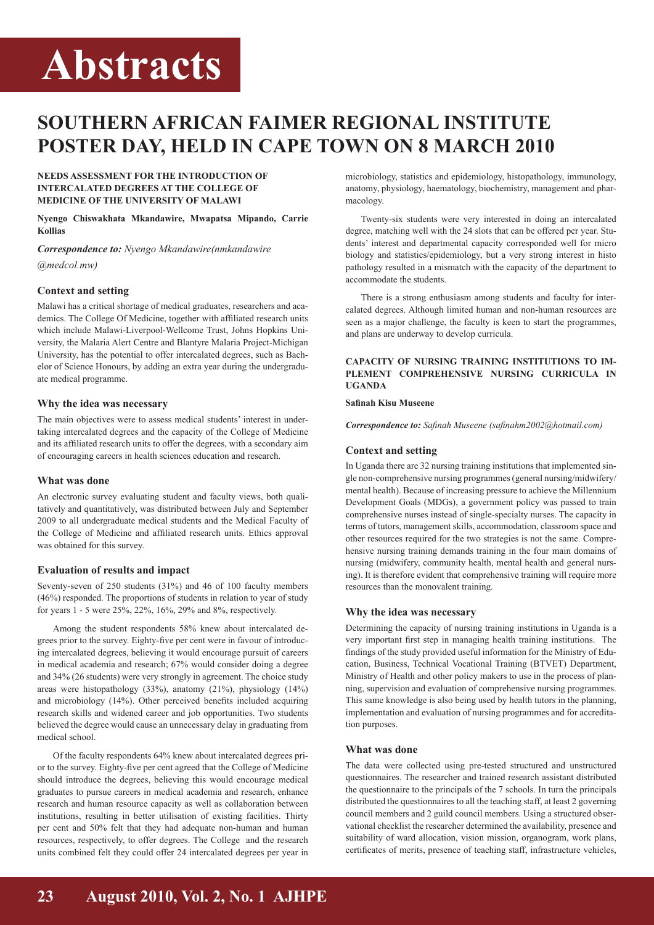# **Abstracts**

# **Southern African FAIMER Regional Institute poster day, held in Cape Town on 8 March 2010**

#### **NEEDS ASSESSMENT FOR THE INTRODUCTION OF INTERCALATED DEGREES AT THE COLLEGE OF MEDICINE OF THE UNIVERSITY OF MALAWI**

**Nyengo Chiswakhata Mkandawire, Mwapatsa Mipando, Carrie Kollias**

*Correspondence to: Nyengo Mkandawire(nmkandawire @medcol.mw)*

# **Context and setting**

Malawi has a critical shortage of medical graduates, researchers and academics. The College Of Medicine, together with affiliated research units which include Malawi-Liverpool-Wellcome Trust, Johns Hopkins University, the Malaria Alert Centre and Blantyre Malaria Project-Michigan University, has the potential to offer intercalated degrees, such as Bachelor of Science Honours, by adding an extra year during the undergraduate medical programme.

#### **Why the idea was necessary**

The main objectives were to assess medical students' interest in undertaking intercalated degrees and the capacity of the College of Medicine and its affiliated research units to offer the degrees, with a secondary aim of encouraging careers in health sciences education and research.

# **What was done**

An electronic survey evaluating student and faculty views, both qualitatively and quantitatively, was distributed between July and September 2009 to all undergraduate medical students and the Medical Faculty of the College of Medicine and affiliated research units. Ethics approval was obtained for this survey.

# **Evaluation of results and impact**

Seventy-seven of 250 students (31%) and 46 of 100 faculty members (46%) responded. The proportions of students in relation to year of study for years 1 - 5 were 25%, 22%, 16%, 29% and 8%, respectively.

Among the student respondents 58% knew about intercalated degrees prior to the survey. Eighty-five per cent were in favour of introducing intercalated degrees, believing it would encourage pursuit of careers in medical academia and research; 67% would consider doing a degree and 34% (26 students) were very strongly in agreement. The choice study areas were histopathology (33%), anatomy (21%), physiology (14%) and microbiology (14%). Other perceived benefits included acquiring research skills and widened career and job opportunities. Two students believed the degree would cause an unnecessary delay in graduating from medical school.

Of the faculty respondents 64% knew about intercalated degrees prior to the survey. Eighty-five per cent agreed that the College of Medicine should introduce the degrees, believing this would encourage medical graduates to pursue careers in medical academia and research, enhance research and human resource capacity as well as collaboration between institutions, resulting in better utilisation of existing facilities. Thirty per cent and 50% felt that they had adequate non-human and human resources, respectively, to offer degrees. The College and the research units combined felt they could offer 24 intercalated degrees per year in microbiology, statistics and epidemiology, histopathology, immunology, anatomy, physiology, haematology, biochemistry, management and pharmacology.

Twenty-six students were very interested in doing an intercalated degree, matching well with the 24 slots that can be offered per year. Students' interest and departmental capacity corresponded well for micro biology and statistics/epidemiology, but a very strong interest in histo pathology resulted in a mismatch with the capacity of the department to accommodate the students.

There is a strong enthusiasm among students and faculty for intercalated degrees. Although limited human and non-human resources are seen as a major challenge, the faculty is keen to start the programmes, and plans are underway to develop curricula.

# **CAPACITY OF NURSING TRAINING INSTITUTIONS TO IM-PLEMENT COMPREHENSIVE NURSING CURRICULA IN UGANDA**

#### **Safinah Kisu Museene**

*Correspondence to: Safinah Museene (safinahm2002@hotmail.com)*

# **Context and setting**

In Uganda there are 32 nursing training institutions that implemented single non-comprehensive nursing programmes (general nursing/midwifery/ mental health). Because of increasing pressure to achieve the Millennium Development Goals (MDGs), a government policy was passed to train comprehensive nurses instead of single-specialty nurses. The capacity in terms of tutors, management skills, accommodation, classroom space and other resources required for the two strategies is not the same. Comprehensive nursing training demands training in the four main domains of nursing (midwifery, community health, mental health and general nursing). It is therefore evident that comprehensive training will require more resources than the monovalent training.

#### **Why the idea was necessary**

Determining the capacity of nursing training institutions in Uganda is a very important first step in managing health training institutions. The findings of the study provided useful information for the Ministry of Education, Business, Technical Vocational Training (BTVET) Department, Ministry of Health and other policy makers to use in the process of planning, supervision and evaluation of comprehensive nursing programmes. This same knowledge is also being used by health tutors in the planning, implementation and evaluation of nursing programmes and for accreditation purposes.

# **What was done**

The data were collected using pre-tested structured and unstructured questionnaires. The researcher and trained research assistant distributed the questionnaire to the principals of the 7 schools. In turn the principals distributed the questionnaires to all the teaching staff, at least 2 governing council members and 2 guild council members. Using a structured observational checklist the researcher determined the availability, presence and suitability of ward allocation, vision mission, organogram, work plans, certificates of merits, presence of teaching staff, infrastructure vehicles,